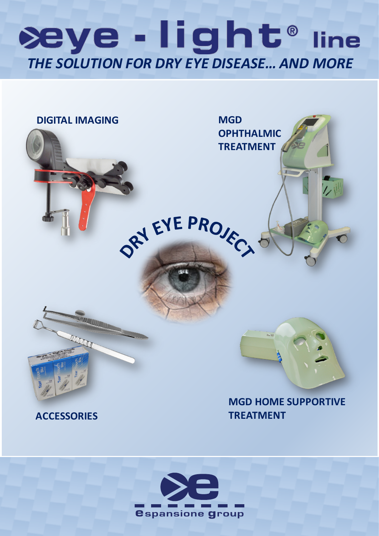## æye - light® line *THE SOLUTION FOR DRY EYE DISEASE… AND MORE*



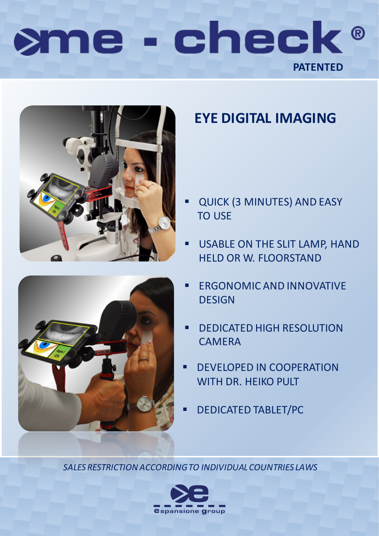# sme - check® **PATENTED PATENTED**





### **EYE DIGITAL IMAGING**

- QUICK (3 MINUTES) AND EASY TO USE
- USABLE ON THE SLIT LAMP, HAND HELD OR W. FLOORSTAND
- ERGONOMIC AND INNOVATIVE DESIGN
- DEDICATED HIGH RESOLUTION **CAMERA**
- DEVELOPED IN COOPERATION WITH DR. HEIKO PULT
- DEDICATED TABLET/PC

*SALES RESTRICTION ACCORDING TO INDIVIDUAL COUNTRIES LAWS SALES RESTRICTION ACCORDING TO INDIVIDUAL COUNTRIES LAWS*

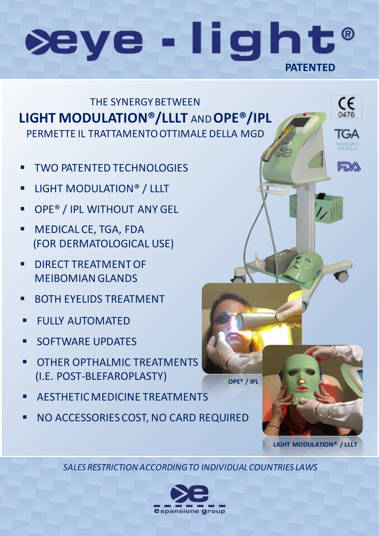## **PATE DE DE DE DE DE DE DE seye**



- **TWO PATENTED TECHNOLOGIES**
- LIGHT MODULATION® / LLLT LIGHT MODULATION® / LLLT LIGHT MODULATION® / LLLT
- OPE® / IPL WITHOUT ANY GEL OPE® / IPL WITHOUT ANY GEL OPE® / IPL WITHOUT ANY GEL
- MEDICAL CE, TGA, FDA MEDICAL CE, TGA, FDA MEDICAL CE, TGA, FDA (FOR DERMATOLOGICAL USE) (FOR DERMATOLOGICAL USE) (FOR DERMATOLOGICAL USE)
- DIRECT TREATMENT OF DIRECT TREATMENT OF DIRECT TREATMENT OF MEIBOMIAN GLANDS MEIBOMIAN GLANDS MEIBOMIAN GLANDS
- BOTH EYELIDS TREATMENT BOTH EYELIDS TREATMENT BOTH EYELIDS TREATMENT
- $F[\text{H}]\times \text{A}[\text{Tr}(\text{M}]\text{A}^T]$ FULLY AUTOMATED FULLY AUTOMATED
- $S$  COFTWARE UPDATE SOFTWARE UPDATES SOFTWARE UPDATES
- $\overline{C}$  Other opthalmic treatments **COTHER OPTHALMIC TREATMENTS** (I.E. POST-BLEFAROPLASTY) (I.E. POST-BLEFAROPLASTY)
- AESTHETIC MEDICINE TREATMENTS AESTHETIC MEDICINE TREATMENTS AESTHETIC MEDICINE TREATMENTS
- NO ACCESSORIES COST, NO CARD REQUIRED NO ACCESSORIES COST, NO CARD REQUIRED

**OPE® / IPL OPE® / IPL LIGHT MODULATION® / LLLT LIGHT MODULATION® / LLLT**

 $\mathsf{C}\mathsf{C}\phantom{000}_{\mathsf{0476}}$ 

IGA

FDA

*SALES RESTRICTION ACCORDING TO INDIVIDUAL COUNTRIES LAWS*